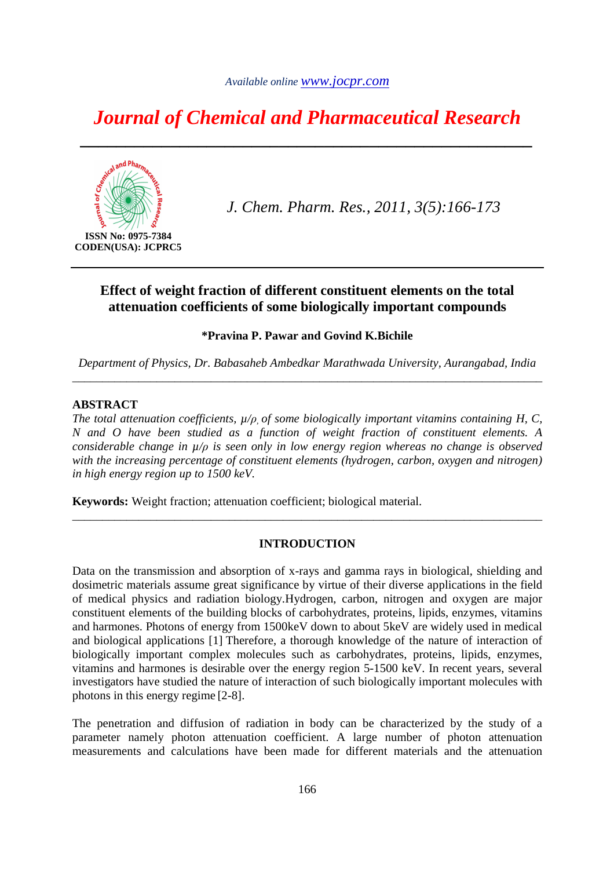# *Journal of Chemical and Pharmaceutical Research*

*\_\_\_\_\_\_\_\_\_\_\_\_\_\_\_\_\_\_\_\_\_\_\_\_\_\_\_\_\_\_\_\_\_\_\_\_\_\_\_\_\_\_\_\_\_\_\_\_\_\_* 



*J. Chem. Pharm. Res., 2011, 3(5):166-173*

## **Effect of weight fraction of different constituent elements on the total attenuation coefficients of some biologically important compounds**

### **\*Pravina P. Pawar and Govind K.Bichile**

*Department of Physics, Dr. Babasaheb Ambedkar Marathwada University, Aurangabad, India*  \_\_\_\_\_\_\_\_\_\_\_\_\_\_\_\_\_\_\_\_\_\_\_\_\_\_\_\_\_\_\_\_\_\_\_\_\_\_\_\_\_\_\_\_\_\_\_\_\_\_\_\_\_\_\_\_\_\_\_\_\_\_\_\_\_\_\_\_\_\_\_\_\_\_\_\_\_\_

### **ABSTRACT**

*The total attenuation coefficients, µ/ρ, of some biologically important vitamins containing H, C, N and O have been studied as a function of weight fraction of constituent elements. A considerable change in µ/ρ is seen only in low energy region whereas no change is observed with the increasing percentage of constituent elements (hydrogen, carbon, oxygen and nitrogen) in high energy region up to 1500 keV.* 

**Keywords:** Weight fraction; attenuation coefficient; biological material.

### **INTRODUCTION**

\_\_\_\_\_\_\_\_\_\_\_\_\_\_\_\_\_\_\_\_\_\_\_\_\_\_\_\_\_\_\_\_\_\_\_\_\_\_\_\_\_\_\_\_\_\_\_\_\_\_\_\_\_\_\_\_\_\_\_\_\_\_\_\_\_\_\_\_\_\_\_\_\_\_\_\_\_\_

Data on the transmission and absorption of x-rays and gamma rays in biological, shielding and dosimetric materials assume great significance by virtue of their diverse applications in the field of medical physics and radiation biology.Hydrogen, carbon, nitrogen and oxygen are major constituent elements of the building blocks of carbohydrates, proteins, lipids, enzymes, vitamins and harmones. Photons of energy from 1500keV down to about 5keV are widely used in medical and biological applications [1] Therefore, a thorough knowledge of the nature of interaction of biologically important complex molecules such as carbohydrates, proteins, lipids, enzymes, vitamins and harmones is desirable over the energy region 5-1500 keV. In recent years, several investigators have studied the nature of interaction of such biologically important molecules with photons in this energy regime [2-8].

The penetration and diffusion of radiation in body can be characterized by the study of a parameter namely photon attenuation coefficient. A large number of photon attenuation measurements and calculations have been made for different materials and the attenuation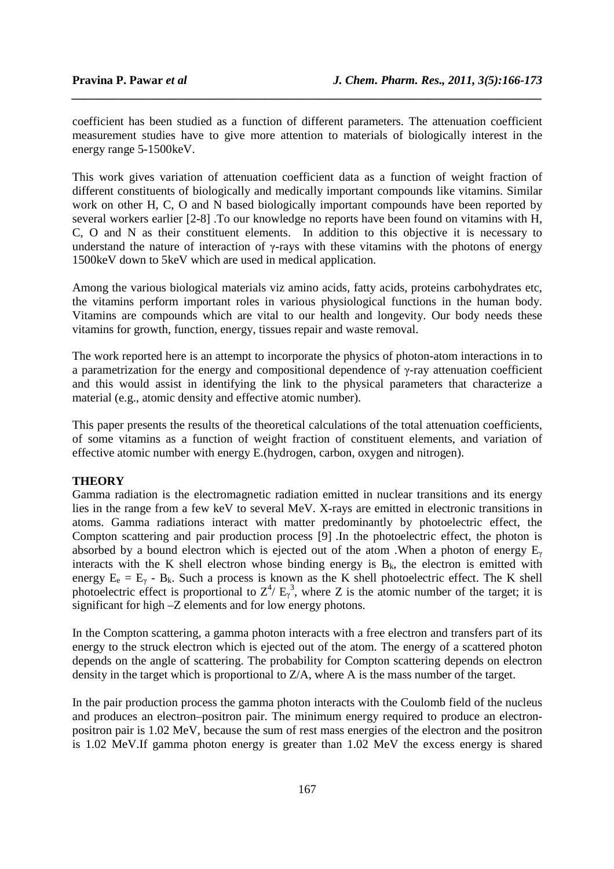coefficient has been studied as a function of different parameters. The attenuation coefficient measurement studies have to give more attention to materials of biologically interest in the energy range 5-1500keV.

*\_\_\_\_\_\_\_\_\_\_\_\_\_\_\_\_\_\_\_\_\_\_\_\_\_\_\_\_\_\_\_\_\_\_\_\_\_\_\_\_\_\_\_\_\_\_\_\_\_\_\_\_\_\_\_\_\_\_\_\_\_\_\_\_\_\_\_\_\_\_\_\_\_\_\_\_\_\_*

This work gives variation of attenuation coefficient data as a function of weight fraction of different constituents of biologically and medically important compounds like vitamins. Similar work on other H, C, O and N based biologically important compounds have been reported by several workers earlier [2-8] .To our knowledge no reports have been found on vitamins with H, C, O and N as their constituent elements. In addition to this objective it is necessary to understand the nature of interaction of  $\gamma$ -rays with these vitamins with the photons of energy 1500keV down to 5keV which are used in medical application.

Among the various biological materials viz amino acids, fatty acids, proteins carbohydrates etc, the vitamins perform important roles in various physiological functions in the human body. Vitamins are compounds which are vital to our health and longevity. Our body needs these vitamins for growth, function, energy, tissues repair and waste removal.

The work reported here is an attempt to incorporate the physics of photon-atom interactions in to a parametrization for the energy and compositional dependence of  $\gamma$ -ray attenuation coefficient and this would assist in identifying the link to the physical parameters that characterize a material (e.g., atomic density and effective atomic number).

This paper presents the results of the theoretical calculations of the total attenuation coefficients, of some vitamins as a function of weight fraction of constituent elements, and variation of effective atomic number with energy E.(hydrogen, carbon, oxygen and nitrogen).

### **THEORY**

Gamma radiation is the electromagnetic radiation emitted in nuclear transitions and its energy lies in the range from a few keV to several MeV. X-rays are emitted in electronic transitions in atoms. Gamma radiations interact with matter predominantly by photoelectric effect, the Compton scattering and pair production process [9] .In the photoelectric effect, the photon is absorbed by a bound electron which is ejected out of the atom. When a photon of energy  $E_y$ interacts with the K shell electron whose binding energy is  $B_k$ , the electron is emitted with energy  $E_e = E_\gamma - B_k$ . Such a process is known as the K shell photoelectric effect. The K shell photoelectric effect is proportional to  $Z^4 / E_\gamma^3$ , where Z is the atomic number of the target; it is significant for high –Z elements and for low energy photons.

In the Compton scattering, a gamma photon interacts with a free electron and transfers part of its energy to the struck electron which is ejected out of the atom. The energy of a scattered photon depends on the angle of scattering. The probability for Compton scattering depends on electron density in the target which is proportional to Z/A, where A is the mass number of the target.

In the pair production process the gamma photon interacts with the Coulomb field of the nucleus and produces an electron–positron pair. The minimum energy required to produce an electronpositron pair is 1.02 MeV, because the sum of rest mass energies of the electron and the positron is 1.02 MeV.If gamma photon energy is greater than 1.02 MeV the excess energy is shared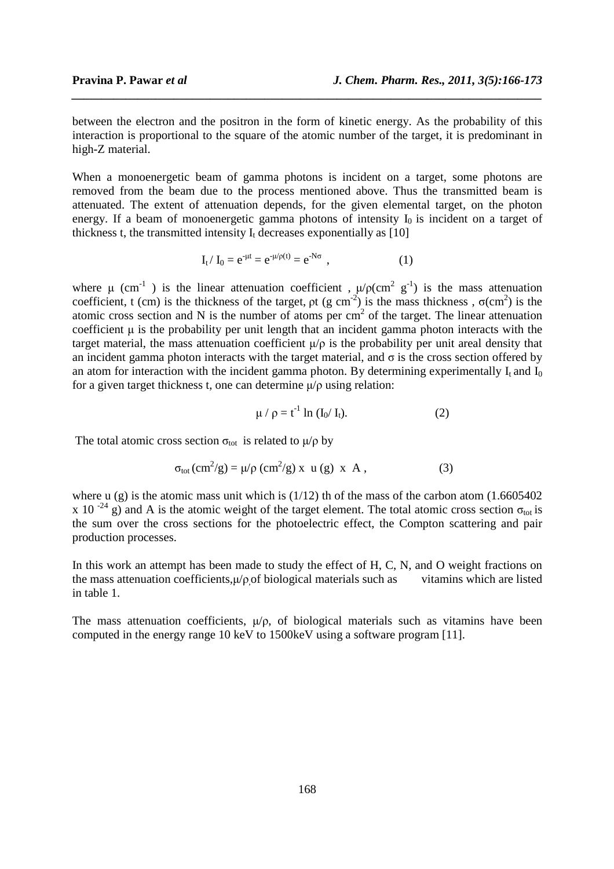between the electron and the positron in the form of kinetic energy. As the probability of this interaction is proportional to the square of the atomic number of the target, it is predominant in high-Z material.

*\_\_\_\_\_\_\_\_\_\_\_\_\_\_\_\_\_\_\_\_\_\_\_\_\_\_\_\_\_\_\_\_\_\_\_\_\_\_\_\_\_\_\_\_\_\_\_\_\_\_\_\_\_\_\_\_\_\_\_\_\_\_\_\_\_\_\_\_\_\_\_\_\_\_\_\_\_\_*

When a monoenergetic beam of gamma photons is incident on a target, some photons are removed from the beam due to the process mentioned above. Thus the transmitted beam is attenuated. The extent of attenuation depends, for the given elemental target, on the photon energy. If a beam of monoenergetic gamma photons of intensity  $I_0$  is incident on a target of thickness t, the transmitted intensity  $I_t$  decreases exponentially as [10]

$$
I_t / I_0 = e^{-\mu t} = e^{-\mu/\rho(t)} = e^{-N\sigma} \t{,} \t(1)
$$

where  $\mu$  (cm<sup>-1</sup>) is the linear attenuation coefficient,  $\mu/\rho$ (cm<sup>2</sup> g<sup>-1</sup>) is the mass attenuation coefficient, t (cm) is the thickness of the target,  $\rho t$  (g cm<sup>-2</sup>) is the mass thickness,  $\sigma$ (cm<sup>2</sup>) is the atomic cross section and N is the number of atoms per  $cm<sup>2</sup>$  of the target. The linear attenuation coefficient  $\mu$  is the probability per unit length that an incident gamma photon interacts with the target material, the mass attenuation coefficient  $\mu/\rho$  is the probability per unit areal density that an incident gamma photon interacts with the target material, and  $\sigma$  is the cross section offered by an atom for interaction with the incident gamma photon. By determining experimentally  $I_t$  and  $I_0$ for a given target thickness t, one can determine  $\mu/\rho$  using relation:

$$
\mu / \rho = t^{-1} \ln (I_0 / I_t). \tag{2}
$$

The total atomic cross section  $\sigma_{tot}$  is related to  $\mu/\rho$  by

$$
\sigma_{\text{tot}}\left(\text{cm}^2/\text{g}\right) = \mu/\rho\left(\text{cm}^2/\text{g}\right) \times \text{u}\left(\text{g}\right) \times \text{A},\tag{3}
$$

where u (g) is the atomic mass unit which is  $(1/12)$  th of the mass of the carbon atom  $(1.6605402)$ x 10<sup>-24</sup> g) and A is the atomic weight of the target element. The total atomic cross section  $\sigma_{tot}$  is the sum over the cross sections for the photoelectric effect, the Compton scattering and pair production processes.

In this work an attempt has been made to study the effect of H, C, N, and O weight fractions on the mass attenuation coefficients, $\mu/\rho$  of biological materials such as vitamins which are listed in table 1.

The mass attenuation coefficients,  $\mu/\rho$ , of biological materials such as vitamins have been computed in the energy range 10 keV to 1500keV using a software program [11].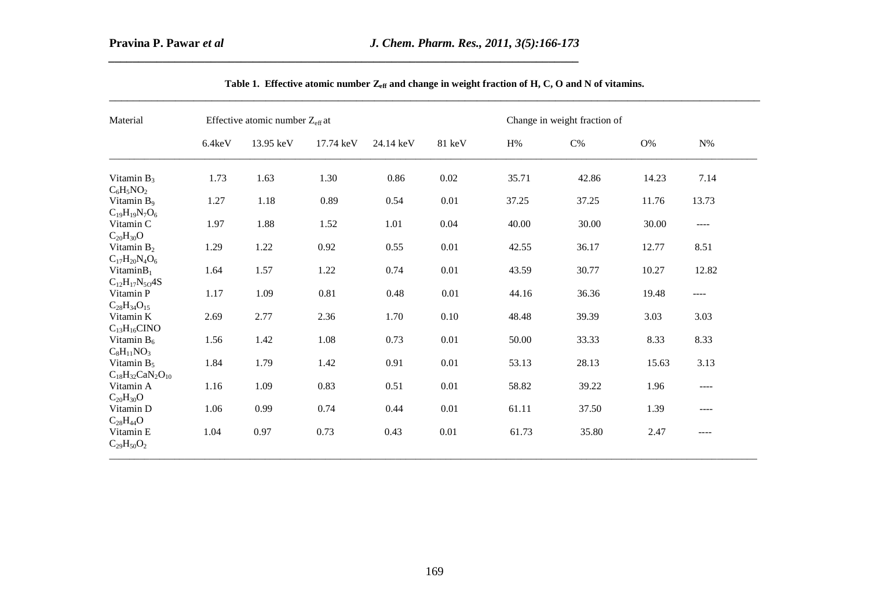| Material                                                       | Effective atomic number Z <sub>eff</sub> at |           |           |           |          | Change in weight fraction of |                |           |                       |
|----------------------------------------------------------------|---------------------------------------------|-----------|-----------|-----------|----------|------------------------------|----------------|-----------|-----------------------|
|                                                                | 6.4keV                                      | 13.95 keV | 17.74 keV | 24.14 keV | 81 keV   | $\rm H\%$                    | $\mathrm{C}\%$ | $\rm O\%$ | ${\bf N}\%$           |
| Vitamin $B_3$                                                  | 1.73                                        | 1.63      | 1.30      | 0.86      | 0.02     | 35.71                        | 42.86          | 14.23     | 7.14                  |
| $C_6H_5NO_2$<br>Vitamin B <sub>9</sub><br>$C_{19}H_{19}N_7O_6$ | 1.27                                        | 1.18      | 0.89      | 0.54      | $0.01\,$ | 37.25                        | 37.25          | 11.76     | 13.73                 |
| Vitamin C<br>$C_{20}H_{30}O$                                   | 1.97                                        | 1.88      | 1.52      | 1.01      | 0.04     | 40.00                        | 30.00          | 30.00     | $\qquad \qquad - - -$ |
| Vitamin $B_2$<br>$C_{17}H_{20}N_4O_6$                          | 1.29                                        | 1.22      | 0.92      | 0.55      | $0.01\,$ | 42.55                        | 36.17          | 12.77     | 8.51                  |
| Vitamin $B_1$<br>$C_{12}H_{17}N_{50}4S$                        | 1.64                                        | 1.57      | 1.22      | 0.74      | $0.01\,$ | 43.59                        | 30.77          | 10.27     | 12.82                 |
| Vitamin P<br>$C_{28}H_{34}O_{15}$                              | 1.17                                        | 1.09      | 0.81      | 0.48      | 0.01     | 44.16                        | 36.36          | 19.48     | $\cdots$              |
| Vitamin K<br>$C_{13}H_{16}CINO$                                | 2.69                                        | 2.77      | 2.36      | 1.70      | 0.10     | 48.48                        | 39.39          | 3.03      | 3.03                  |
| Vitamin $B_6$<br>$C_8H_{11}NO_3$                               | 1.56                                        | 1.42      | 1.08      | 0.73      | 0.01     | 50.00                        | 33.33          | 8.33      | 8.33                  |
| Vitamin $B_5$<br>$C_{18}H_{32}CaN_2O_{10}$                     | 1.84                                        | 1.79      | 1.42      | 0.91      | $0.01\,$ | 53.13                        | 28.13          | 15.63     | 3.13                  |
| Vitamin A<br>$C_{20}H_{30}O$                                   | 1.16                                        | 1.09      | 0.83      | 0.51      | $0.01\,$ | 58.82                        | 39.22          | 1.96      | $\frac{1}{2}$         |
| Vitamin D<br>$C_{28}H_{44}O$                                   | 1.06                                        | 0.99      | 0.74      | 0.44      | $0.01\,$ | 61.11                        | 37.50          | 1.39      | $\qquad \qquad - - -$ |
| Vitamin E<br>$C_{29}H_{50}O_2$                                 | 1.04                                        | 0.97      | 0.73      | 0.43      | $0.01\,$ | 61.73                        | 35.80          | 2.47      | $\qquad \qquad - - -$ |

| Table 1. Effective atomic number $Z_{\text{eff}}$ and change in weight fraction of H, C, O and N of vitamins. |  |  |  |  |
|---------------------------------------------------------------------------------------------------------------|--|--|--|--|
|                                                                                                               |  |  |  |  |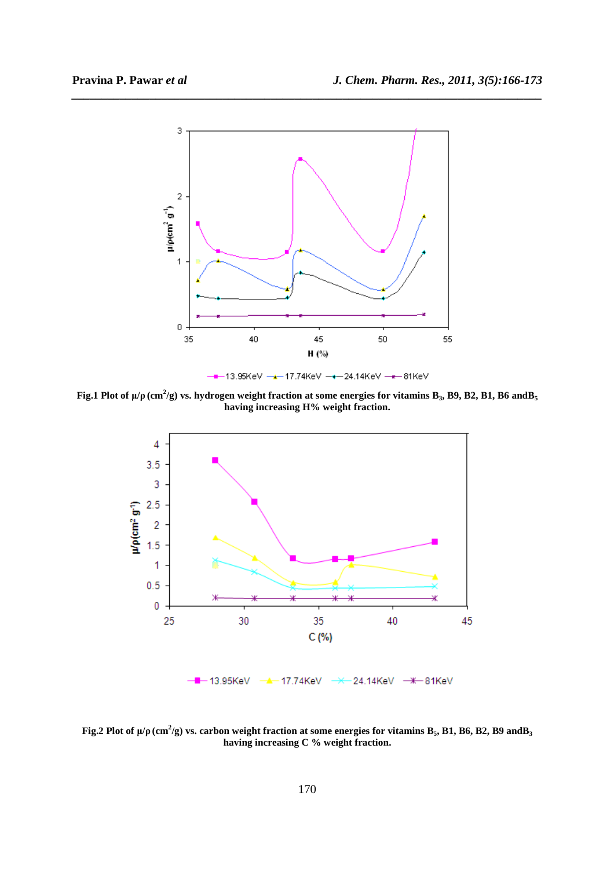

*\_\_\_\_\_\_\_\_\_\_\_\_\_\_\_\_\_\_\_\_\_\_\_\_\_\_\_\_\_\_\_\_\_\_\_\_\_\_\_\_\_\_\_\_\_\_\_\_\_\_\_\_\_\_\_\_\_\_\_\_\_\_\_\_\_\_\_\_\_\_\_\_\_\_\_\_\_\_*

-- 13.95KeV -- 17.74KeV -- + - 24.14KeV -- + - 81KeV

**Fig.1** Plot of  $\mu/\rho$  (cm $^2$ /g) vs. hydrogen weight fraction at some energies for vitamins B3, B9, B2, B1, B6 andB5 **having increasing H% weight fraction.** 



**Fig.2** Plot of  $\mu/\rho$  (cm<sup>2</sup>/g) vs. carbon weight fraction at some energies for vitamins B<sub>5</sub>, B1, B6, B2, B9 andB<sub>3</sub> **having increasing C % weight fraction.**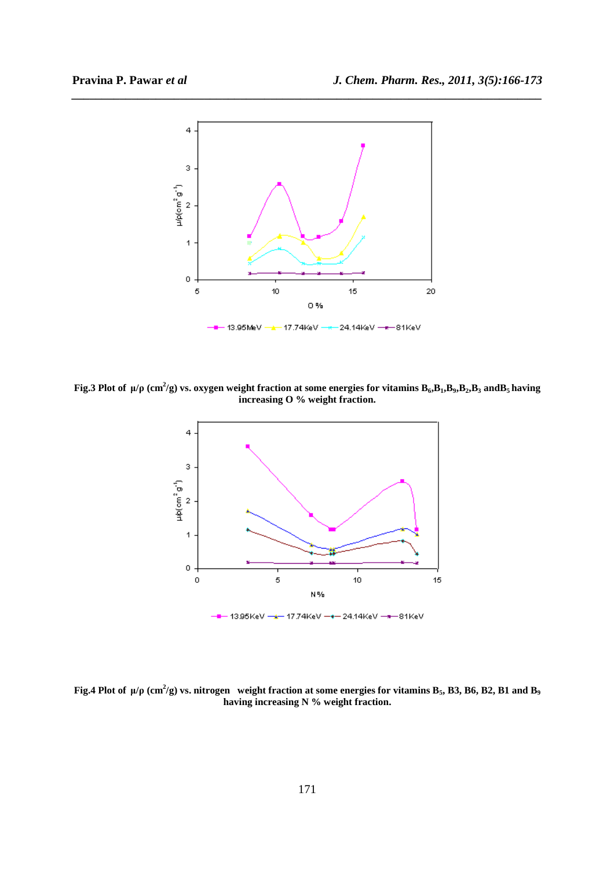

*\_\_\_\_\_\_\_\_\_\_\_\_\_\_\_\_\_\_\_\_\_\_\_\_\_\_\_\_\_\_\_\_\_\_\_\_\_\_\_\_\_\_\_\_\_\_\_\_\_\_\_\_\_\_\_\_\_\_\_\_\_\_\_\_\_\_\_\_\_\_\_\_\_\_\_\_\_\_*

Fig.3 Plot of  $\mu/\rho$  (cm $^2$ /g) vs. oxygen weight fraction at some energies for vitamins  $B_6$ , $B_1$ , $B_9$ , $B_2$ , $B_3$  and $B_5$  having **increasing O % weight fraction.** 



**Fig.4** Plot of  $\mu/\rho$  (cm<sup>2</sup>/g) vs. nitrogen weight fraction at some energies for vitamins B<sub>5</sub>, B3, B6, B2, B1 and B<sub>9</sub> **having increasing N % weight fraction.**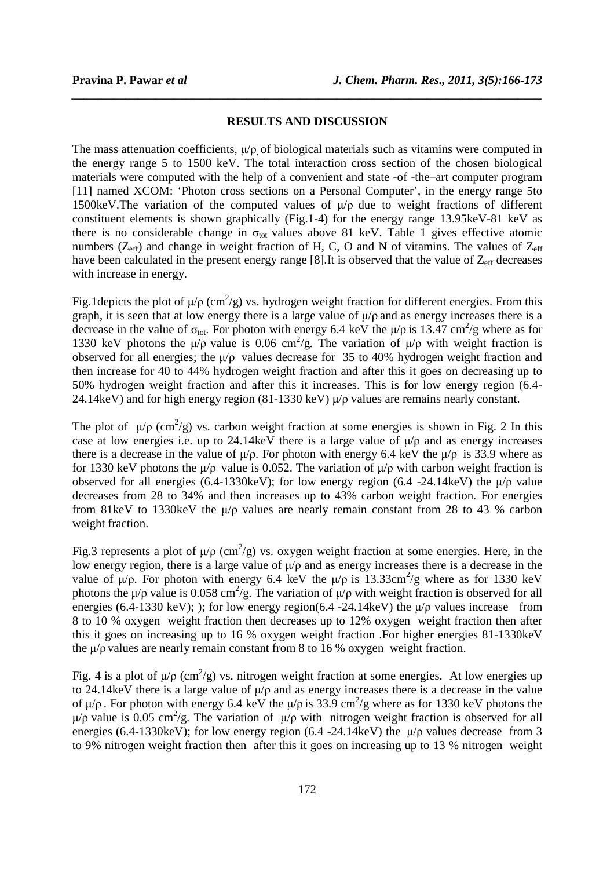### **RESULTS AND DISCUSSION**

*\_\_\_\_\_\_\_\_\_\_\_\_\_\_\_\_\_\_\_\_\_\_\_\_\_\_\_\_\_\_\_\_\_\_\_\_\_\_\_\_\_\_\_\_\_\_\_\_\_\_\_\_\_\_\_\_\_\_\_\_\_\_\_\_\_\_\_\_\_\_\_\_\_\_\_\_\_\_*

The mass attenuation coefficients,  $\mu/\rho$  of biological materials such as vitamins were computed in the energy range 5 to 1500 keV. The total interaction cross section of the chosen biological materials were computed with the help of a convenient and state -of -the–art computer program [11] named XCOM: 'Photon cross sections on a Personal Computer', in the energy range 5to 1500keV. The variation of the computed values of  $\mu/\rho$  due to weight fractions of different constituent elements is shown graphically (Fig.1-4) for the energy range 13.95keV-81 keV as there is no considerable change in  $\sigma_{tot}$  values above 81 keV. Table 1 gives effective atomic numbers ( $Z_{\text{eff}}$ ) and change in weight fraction of H, C, O and N of vitamins. The values of  $Z_{\text{eff}}$ have been calculated in the present energy range  $[8]$ . It is observed that the value of  $Z_{\text{eff}}$  decreases with increase in energy.

Fig.1 depicts the plot of  $\mu/\rho$  (cm<sup>2</sup>/g) vs. hydrogen weight fraction for different energies. From this graph, it is seen that at low energy there is a large value of  $\mu/\rho$  and as energy increases there is a decrease in the value of  $\sigma_{\text{tot}}$ . For photon with energy 6.4 keV the  $\mu/\rho$  is 13.47 cm<sup>2</sup>/g where as for 1330 keV photons the  $\mu/\rho$  value is 0.06 cm<sup>2</sup>/g. The variation of  $\mu/\rho$  with weight fraction is observed for all energies; the  $\mu/\rho$  values decrease for 35 to 40% hydrogen weight fraction and then increase for 40 to 44% hydrogen weight fraction and after this it goes on decreasing up to 50% hydrogen weight fraction and after this it increases. This is for low energy region (6.4- 24.14keV) and for high energy region (81-1330 keV)  $\mu/\rho$  values are remains nearly constant.

The plot of  $\mu/\rho$  (cm<sup>2</sup>/g) vs. carbon weight fraction at some energies is shown in Fig. 2 In this case at low energies i.e. up to 24.14keV there is a large value of  $\mu/\rho$  and as energy increases there is a decrease in the value of  $\mu/\rho$ . For photon with energy 6.4 keV the  $\mu/\rho$  is 33.9 where as for 1330 keV photons the  $\mu/\rho$  value is 0.052. The variation of  $\mu/\rho$  with carbon weight fraction is observed for all energies (6.4-1330keV); for low energy region (6.4-24.14keV) the  $\mu/\rho$  value decreases from 28 to 34% and then increases up to 43% carbon weight fraction. For energies from 81keV to 1330keV the  $\mu/\rho$  values are nearly remain constant from 28 to 43 % carbon weight fraction.

Fig.3 represents a plot of  $\mu/\rho$  (cm<sup>2</sup>/g) vs. oxygen weight fraction at some energies. Here, in the low energy region, there is a large value of  $\mu/\rho$  and as energy increases there is a decrease in the value of  $\mu/\rho$ . For photon with energy 6.4 keV the  $\mu/\rho$  is 13.33cm<sup>2</sup>/g where as for 1330 keV photons the  $\mu/\rho$  value is 0.058 cm<sup>2</sup>/g. The variation of  $\mu/\rho$  with weight fraction is observed for all energies (6.4-1330 keV); ); for low energy region(6.4 -24.14keV) the  $\mu/\rho$  values increase from 8 to 10 % oxygen weight fraction then decreases up to 12% oxygen weight fraction then after this it goes on increasing up to 16 % oxygen weight fraction .For higher energies 81-1330keV the  $\mu/\rho$  values are nearly remain constant from 8 to 16 % oxygen weight fraction.

Fig. 4 is a plot of  $\mu/\rho$  (cm<sup>2</sup>/g) vs. nitrogen weight fraction at some energies. At low energies up to 24.14keV there is a large value of  $\mu/\rho$  and as energy increases there is a decrease in the value of  $\mu/\rho$ . For photon with energy 6.4 keV the  $\mu/\rho$  is 33.9 cm<sup>2</sup>/g where as for 1330 keV photons the  $\mu/\rho$  value is 0.05 cm<sup>2</sup>/g. The variation of  $\mu/\rho$  with nitrogen weight fraction is observed for all energies (6.4-1330keV); for low energy region (6.4 -24.14keV) the  $\mu/\rho$  values decrease from 3 to 9% nitrogen weight fraction then after this it goes on increasing up to 13 % nitrogen weight